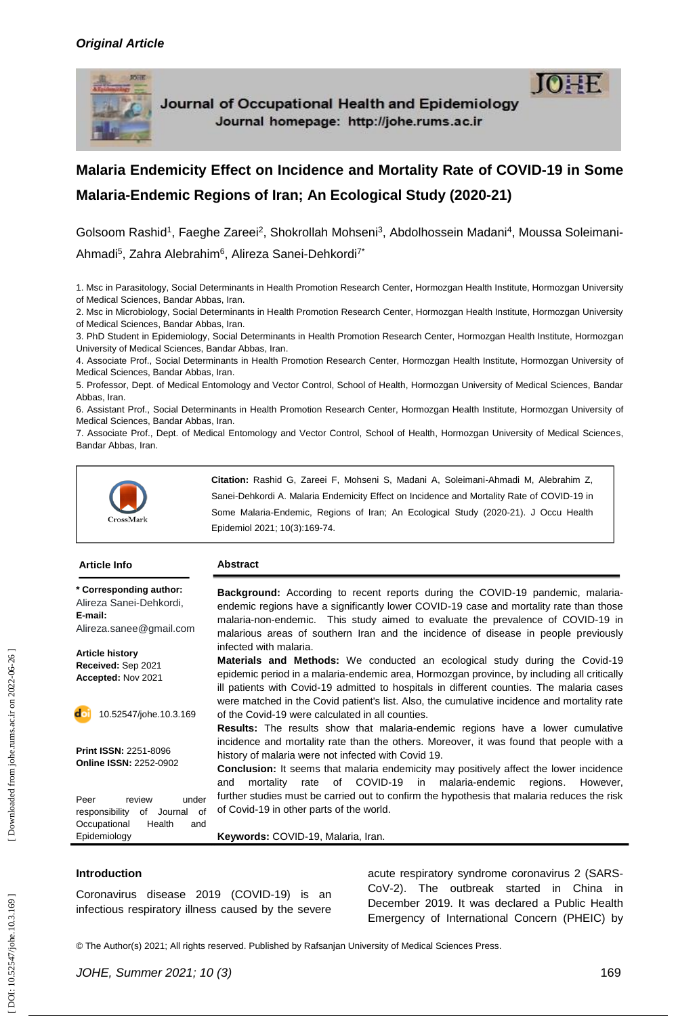

Journal of Occupational Health and Epidemiology Journal homepage: http://johe.rums.ac.ir

# **Malaria Endemicity Effect on Incidence and Mortality Rate of COVID -19 in Some Malaria -Endemic Regions of Iran; An Ecological Study (2020 -21)**

Golsoom Rashid<sup>1</sup>, Faeghe Zareei<sup>2</sup>, Shokrollah Mohseni<sup>3</sup>, Abdolhossein Madani<sup>4</sup>, Moussa Soleimani-Ahmadi<sup>5</sup>, Zahra Alebrahim<sup>6</sup>, Alireza Sanei-Dehkordi<sup>7\*</sup>

1. Msc in Parasitology, Social Determinants in Health Promotion Research Center, Hormozgan Health Institute, Hormozgan University of Medical Sciences, Bandar Abbas, Iran.

2. Msc in Microbiology, Social Determinants in Health Promotion Research Center, Hormozgan Health Institute, Hormozgan University of Medical Sciences, Bandar Abbas, Iran.

3. PhD Student in Epidemiology, Social Determinants in Health Promotion Research Center, Hormozgan Health Institute, Hormozgan University of Medical Sciences, Bandar Abbas, Iran .

4. Associate Prof., Social Determinants in Health Promotion Research Center, Hormozgan Health Institute, Hormozgan University of Medical Sciences, Bandar Abbas, Iran.

5. Professor, Dept. of Medical Entomology and Vector Control, School of Health, Hormozgan University of Medical Sciences, Bandar Abbas, Iran .

6. Assistant Prof., Social Determinants in Health Promotion Research Center, Hormozgan Health Institute, Hormozgan University of Medical Sciences, Bandar Abbas, Iran.

7. Associate Prof., Dept. of Medical Entomology and Vector Control, School of Health, Hormozgan University of Medical Sciences, Bandar Abbas, Iran.



**Citation:** Rashid G, Zareei F, Mohseni S, Madani A, Soleimani -Ahmadi M, Alebrahim Z, Sanei -Dehkordi A. Malaria Endemicity Effect on Incidence and Mortality Rate of COVID -19 in Some Malaria-Endemic, Regions of Iran; An Ecological Study (2020-21). J Occu Health Epidemiol 2021; 10( 3):169 -74 .

| <b>Article Info</b>                                                                                               | <b>Abstract</b>                                                                                                                                                                                                                                                                                                                                          |
|-------------------------------------------------------------------------------------------------------------------|----------------------------------------------------------------------------------------------------------------------------------------------------------------------------------------------------------------------------------------------------------------------------------------------------------------------------------------------------------|
| * Corresponding author:<br>Alireza Sanei-Dehkordi,<br>E-mail:<br>Alireza.sanee@gmail.com                          | <b>Background:</b> According to recent reports during the COVID-19 pandemic, malaria-<br>endemic regions have a significantly lower COVID-19 case and mortality rate than those<br>malaria-non-endemic. This study aimed to evaluate the prevalence of COVID-19 in<br>malarious areas of southern Iran and the incidence of disease in people previously |
| <b>Article history</b><br>Received: Sep 2021<br>Accepted: Nov 2021                                                | infected with malaria.<br><b>Materials and Methods:</b> We conducted an ecological study during the Covid-19<br>epidemic period in a malaria-endemic area, Hormozgan province, by including all critically<br>ill patients with Covid-19 admitted to hospitals in different counties. The malaria cases                                                  |
| 10.52547/johe.10.3.169                                                                                            | were matched in the Covid patient's list. Also, the cumulative incidence and mortality rate<br>of the Covid-19 were calculated in all counties.<br><b>Results:</b> The results show that malaria-endemic regions have a lower cumulative                                                                                                                 |
| <b>Print ISSN: 2251-8096</b><br><b>Online ISSN: 2252-0902</b>                                                     | incidence and mortality rate than the others. Moreover, it was found that people with a<br>history of malaria were not infected with Covid 19.<br><b>Conclusion:</b> It seems that malaria endemicity may positively affect the lower incidence<br>COVID-19<br>of l<br>malaria-endemic<br>mortality<br>rate<br>in<br>regions.<br>However.<br>and         |
| Peer<br>review<br>under<br>of<br>responsibility<br>of<br>Journal<br>Occupational<br>Health<br>and<br>Epidemiology | further studies must be carried out to confirm the hypothesis that malaria reduces the risk<br>of Covid-19 in other parts of the world.<br>Keywords: COVID-19, Malaria, Iran.                                                                                                                                                                            |

#### **Introduction**

Coronavirus disease 2019 (COVID -19) is an infectious respiratory illness caused by the severe

acute respiratory syndrome coronavirus 2 (SARS - CoV -2). The outbreak started in China in December 2019. It was declared a Public Health Emergency of International Concern (PHEIC) by

© The Author(s) 2021; All rights reserved. Published by Rafsanjan University of Medical Sciences Press.

 $IO = F$ 

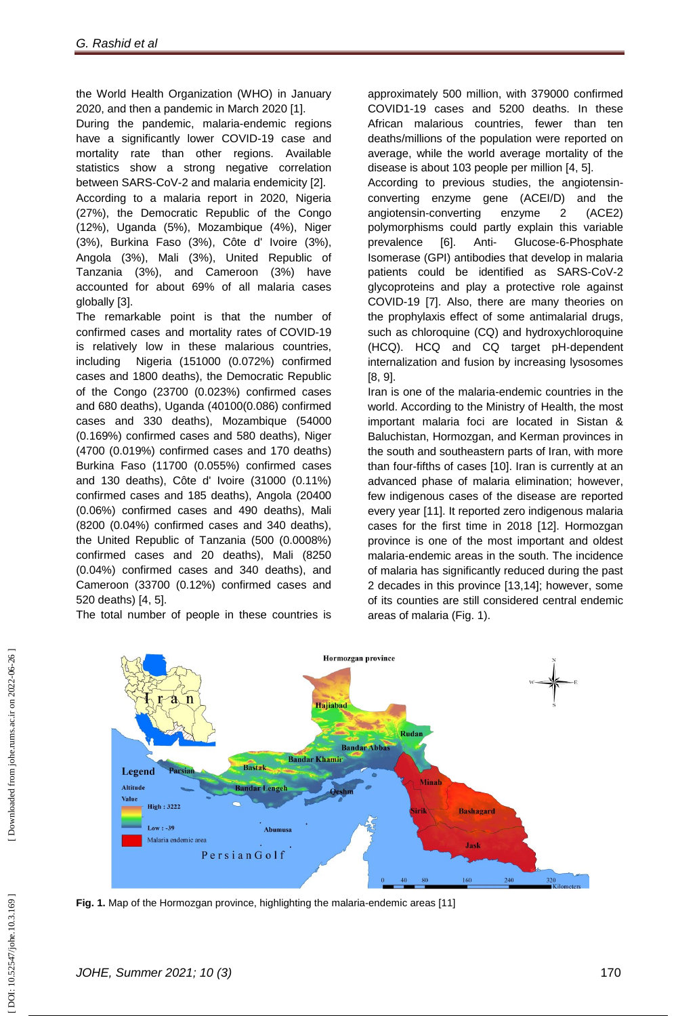the World Health Organization (WHO) in January 2020, and then a pandemic in March 2020 [1].

During the pandemic, malaria -endemic regions have a significantly lower COVID -19 case and mortality rate than other regions. Available statistics show a strong negative correlation between SARS -CoV -2 and malaria endemicity [2]. According to a malaria report in 2020, Nigeria (27%), the Democratic Republic of the Congo (12%), Uganda (5%), Mozambique (4%), Niger (3%), Burkina Faso (3%), Côte d' Ivoire (3%), Angola (3%), Mali (3%), United Republic of Tanzania (3%), and Cameroon (3%) have accounted for about 69% of all malaria cases

globally [3]. The remarkable point is that the number of confirmed cases and mortality rates of COVID -19 is relatively low in these malarious countries, including Nigeria (151000 (0.072%) confirmed cases and 1800 deaths), the Democratic Republic of the Congo (23700 (0.023%) confirmed cases and 680 deaths), Uganda (40100(0.086) confirmed cases and 330 deaths), Mozambique (54000 (0.169%) confirmed cases and 580 deaths), Niger (4700 (0.019%) confirmed cases and 170 deaths) Burkina Faso (11700 (0.055%) confirmed cases and 130 deaths), Côte d' Ivoire (31000 (0.11%) confirmed cases and 185 deaths), Angola (20400 (0.06%) confirmed cases and 490 deaths), Mali (8200 (0.04%) confirmed cases and 340 deaths), the United Republic of Tanzania (500 (0.0008%) confirmed cases and 20 deaths), Mali (8250 (0.04%) confirmed cases and 340 deaths), and Cameroon (33700 (0.12%) confirmed cases and 520 deaths) [4, 5].

The total number of people in these countries is

approximately 500 million, with 379000 confirmed COVID1 -19 cases and 5200 deaths. In these African malarious countries, fewer than ten deaths/millions of the population were reported on average, while the world average mortality of the disease is about 103 people per million [4, 5].

According to previous studies, the angiotensin converting enzyme gene (ACEI/D) and the angiotensin -converting enzyme 2 (ACE2) polymorphisms could partly explain this variable prevalence [6]. Anti-- Glucose-6-Phosphate Isomerase (GPI) antibodies that develop in malaria patients could be identified as SARS -CoV -2 glycoproteins and play a protective role against COVID -19 [7]. Also, there are many theories on the prophylaxis effect of some antimalarial drugs, such as chloroquine (CQ) and hydroxychloroquine (HCQ). HCQ and CQ target pH ‐dependent internalization and fusion by increasing lysosomes [8, 9].

Iran is one of the malaria -endemic countries in the world. According to the Ministry of Health, the most important malaria foci are located in Sistan & Baluchistan, Hormozgan, and Kerman provinces in the south and southeastern parts of Iran, with more than four -fifths of cases [10]. Iran is currently at an advanced phase of malaria elimination; however, few indigenous cases of the disease are reported every year [11]. It reported zero indigenous malaria cases for the first time in 2018 [12]. Hormozgan province is one of the most important and oldest malaria -endemic areas in the south. The incidence of malaria has significantly reduced during the past 2 decades in this province [13,14]; however, some of its counties are still considered central endemic areas of malaria (Fig. 1).



**Fig. 1.** Map of the Hormozgan province, highlighting the malaria-endemic areas [11]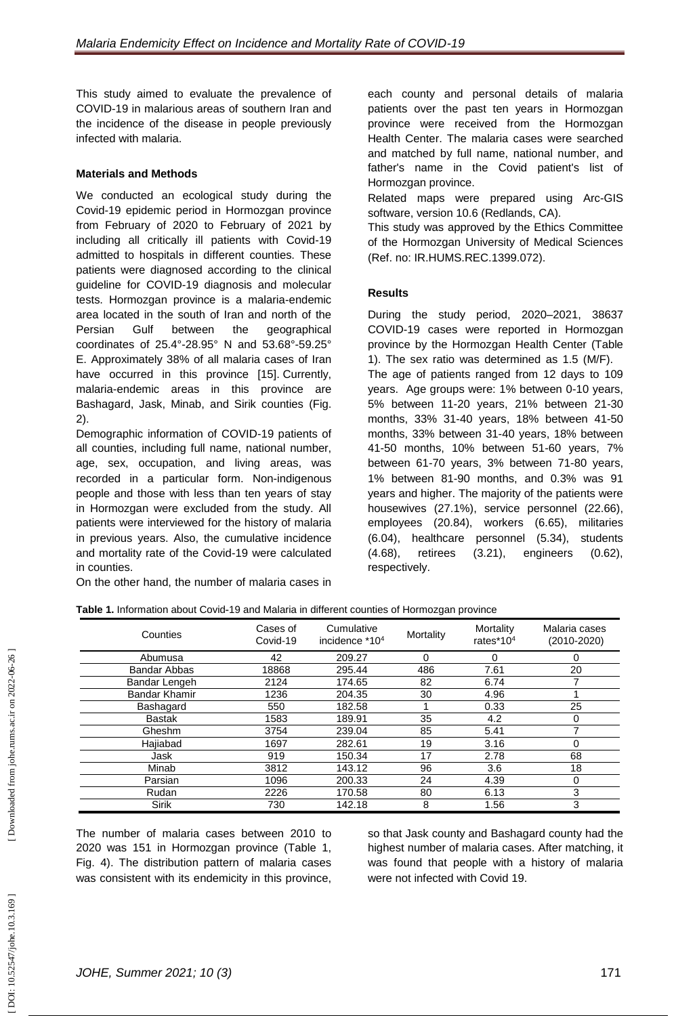This study aimed to evaluate the prevalence of COVID -19 in malarious areas of southern Iran and the incidence of the disease in people previously infected with malaria.

### **Materials and Methods**

We conducted an ecological study during the Covid -19 epidemic period in Hormozgan province from February of 2020 to February of 2021 by including all critically ill patients with Covid -19 admitted to hospitals in different counties. These patients were diagnosed according to the clinical guideline for COVID -19 diagnosis and molecular tests. Hormozgan province is a malaria -endemic area located in the south of Iran and north of the Persian Gulf between the geographical coordinates of 25.4° -28.95° N and 53.68° -59.25° E. Approximately 38% of all malaria cases of Iran have occurred in this province [15]. Currently, malaria -endemic areas in this province are Bashagard, Jask, Minab, and Sirik counties (Fig. 2).

Demographic information of COVID -19 patients of all counties, including full name, national number, age, sex, occupation, and living areas, was recorded in a particular form. Non -indigenous people and those with less than ten years of stay in Hormozgan were excluded from the study. All patients were interviewed for the history of malaria in previous years. Also, the cumulative incidence and mortality rate of the Covid -19 were calculated in counties.

On the other hand, the number of malaria cases in

each county and personal details of malaria patients over the past ten years in Hormozgan province were received from the Hormozgan Health Center. The malaria cases were searched and matched by full name, national number, and father's name in the Covid patient's list of Hormozgan province.

Related maps were prepared using Arc -GIS software, version 10.6 (Redlands, CA).

This study was approved by the Ethics Committee of the Hormozgan University of Medical Sciences (Ref. no: IR.HUMS.REC.1399.072).

#### **Results**

During the study period, 2020 –2021, 38637 COVID -19 cases were reported in Hormozgan province by the Hormozgan Health Center (Table 1). The sex ratio was determined as 1.5 (M/F). The age of patients ranged from 12 days to 109 years. Age groups were: 1% between 0 -10 years, 5% between 11 -20 years, 21% between 21 -30 months, 33% 31 -40 years, 18% between 41 -50 months, 33% between 31 -40 years, 18% between 41 -50 months, 10% between 51 -60 years, 7% between 61 -70 years, 3% between 71 -80 years, 1% between 81 -90 months, and 0.3% was 91 years and higher. The majority of the patients were housewives (27.1%), service personnel (22.66), employees (20.84), workers (6.65), militaries (6.04), healthcare personnel (5.34), students (4.68), retirees (3.21), engineers (0.62), respectively.

| Table 1. Information about Covid-19 and Malaria in different counties of Hormozgan province |  |
|---------------------------------------------------------------------------------------------|--|
|                                                                                             |  |

| Counties             | Cases of<br>Covid-19 | Cumulative<br>incidence *10 <sup>4</sup> | Mortality | Mortality<br>rates $*104$ | Malaria cases<br>$(2010 - 2020)$ |
|----------------------|----------------------|------------------------------------------|-----------|---------------------------|----------------------------------|
| Abumusa              | 42                   | 209.27                                   | 0         | 0                         | 0                                |
| Bandar Abbas         | 18868                | 295.44                                   | 486       | 7.61                      | 20                               |
| Bandar Lengeh        | 2124                 | 174.65                                   | 82        | 6.74                      |                                  |
| <b>Bandar Khamir</b> | 1236                 | 204.35                                   | 30        | 4.96                      |                                  |
| Bashagard            | 550                  | 182.58                                   |           | 0.33                      | 25                               |
| <b>Bastak</b>        | 1583                 | 189.91                                   | 35        | 4.2                       | 0                                |
| Gheshm               | 3754                 | 239.04                                   | 85        | 5.41                      | 7                                |
| Hajiabad             | 1697                 | 282.61                                   | 19        | 3.16                      | 0                                |
| Jask                 | 919                  | 150.34                                   | 17        | 2.78                      | 68                               |
| Minab                | 3812                 | 143.12                                   | 96        | 3.6                       | 18                               |
| Parsian              | 1096                 | 200.33                                   | 24        | 4.39                      | 0                                |
| Rudan                | 2226                 | 170.58                                   | 80        | 6.13                      | 3                                |
| <b>Sirik</b>         | 730                  | 142.18                                   | 8         | 1.56                      | 3                                |

The number of malaria cases between 2010 to 2020 was 151 in Hormozgan province (Table 1, Fig. 4). The distribution pattern of malaria cases was consistent with its endemicity in this province,

so that Jask county and Bashagard county had the highest number of malaria cases . After matching, it was found that people with a history of malaria were not infected with Covid 19.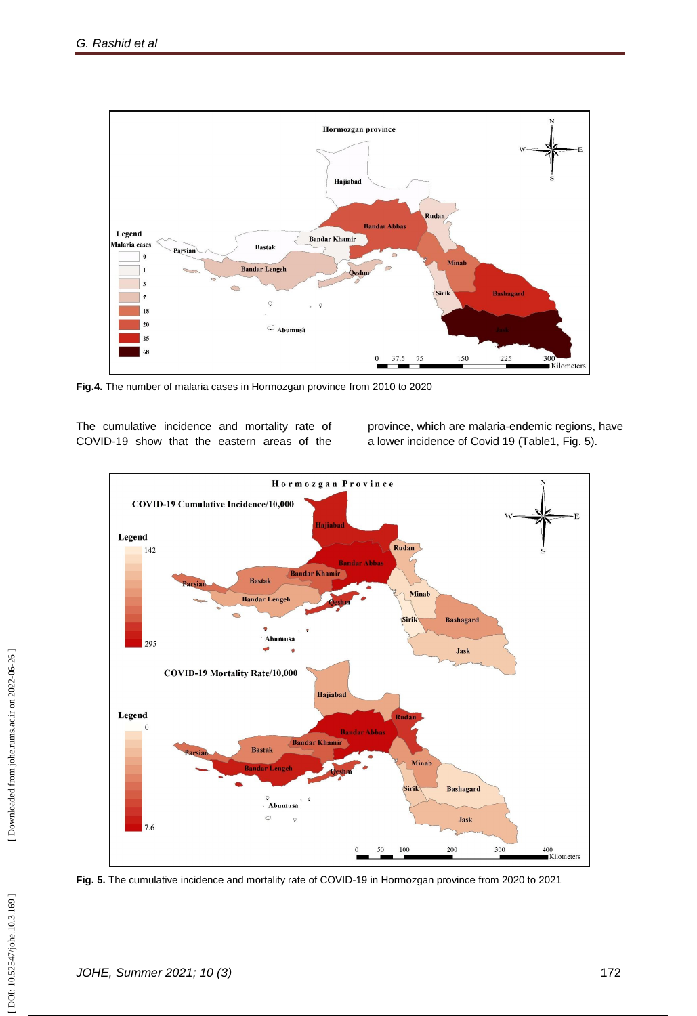

**Fig.4.** The number of malaria cases in Hormozgan province from 2010 to 2020

The cumulative incidence and mortality rate of COVID -19 show that the eastern areas of the

province, which are malaria -endemic regions, have a lower incidence of Covid 19 (Table1, Fig. 5).



**Fig. 5.** The cumulative incidence and mortality rate of COVID -19 in Hormozgan province from 2020 to 2021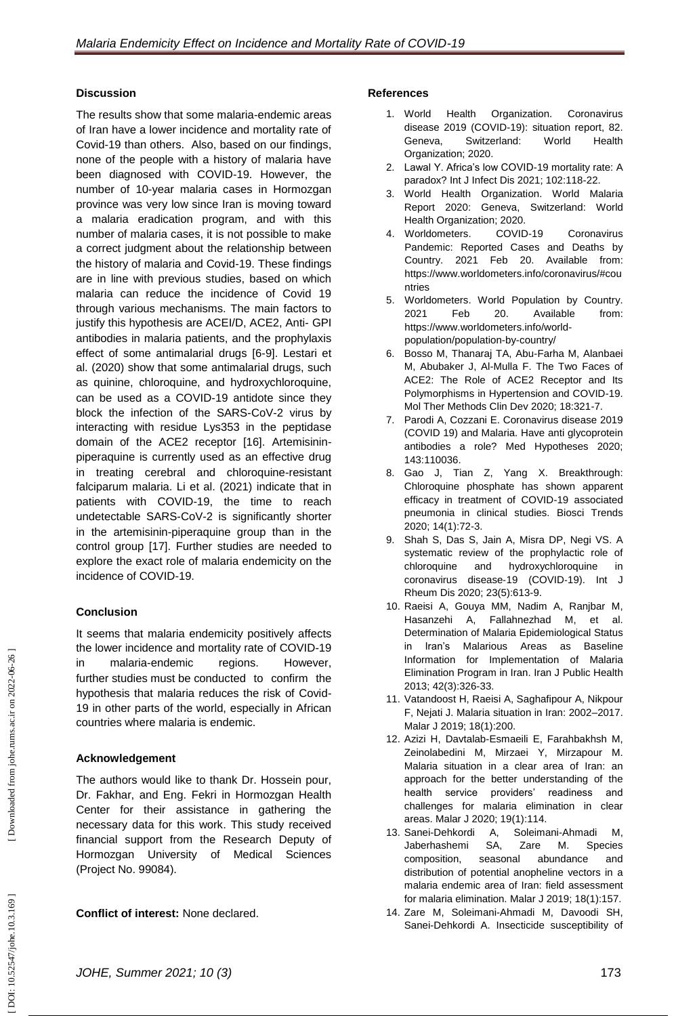## **Discussion**

The results show that some malaria -endemic areas of Iran have a lower incidence and mortality rate of Covid -19 than others. Also, based on our findings, none of the people with a history of malaria have been diagnosed with COVID -19. However, the number of 10 -year malaria cases in Hormozgan province was very low since Iran is moving toward a malaria eradication program, and with this number of malaria cases, it is not possible to make a correct judgment about the relationship between the history of malaria and Covid -19. These findings are in line with previous studies, based on which malaria can reduce the incidence of Covid 19 through various mechanisms. The main factors to justify this hypothesis are ACEI/D, ACE2, Anti- GPI antibodies in malaria patients, and the prophylaxis effect of some antimalarial drugs [6 -9]. Lestari et al. (2020) show that some antimalarial drugs, such as quinine, chloroquine, and hydroxychloroquine, can be used as a COVID -19 antidote since they block the infection of the SARS -CoV -2 virus by interacting with residue Lys353 in the peptidase domain of the ACE2 receptor [16]. Artemisinin piperaquine is currently used as an effective drug in treating cerebral and chloroquine -resistant falciparum malaria. Li et al. (2021) indicate that in patients with COVID -19, the time to reach undetectable SARS -CoV -2 is significantly shorter in the artemisinin -piperaquine group than in the control group [17]. Further studies are needed to explore the exact role of malaria endemicity on the incidence of COVID -19.

# **Conclusion**

It seems that malaria endemicity positively affects the lower incidence and mortality rate of COVID -19 in malaria -endemic regions. However, further studies must be conducted to confirm the hypothesis that malaria reduces the risk of Covid - 19 in other parts of the world, especially in African countries where malaria is endemic.

# **Acknowledgement**

The authors would like to thank Dr. Hossein pour, Dr. Fakhar, and Eng. Fekri in Hormozgan Health Center for their assistance in gathering the necessary data for this work. This study received financial support from the Research Deputy of Hormozgan University of Medical Sciences (Project No. 99084).

**Conflict of interest:** None declared.

## **References**

- 1. World Health Organization. Coronavirus disease 2019 (COVID -19): situation report, 82. Geneva, Switzerland: World Health Organization; 2020.
- 2 . Lawal Y. Africa's low COVID -19 mortality rate: A paradox? Int J Infect Dis 2021; 102:118 -22.
- 3 . World Health Organization. World Malaria Report 2020: Geneva, Switzerland: World Health Organization; 2020.
- 4 . Worldometers. COVID COVID-19 Coronavirus Pandemic: Reported Cases and Deaths by Country. 2021 Feb 20. Available from: [https://www.worldometers.info/coronavirus/#cou](https://www.worldometers.info/coronavirus/#countries) [ntries](https://www.worldometers.info/coronavirus/#countries)
- 5 . Worldometers. World Population by Country. 2021 Feb 20. Available from: [https://www.worldometers.info/worl](https://www.worldometers.info/world-population/population-by-country/) d [population/population](https://www.worldometers.info/world-population/population-by-country/) -by -country/
- 6 . Bosso M, Thanaraj TA, Abu -Farha M, Alanbaei M, Abubaker J, Al -Mulla F. The Two Faces of ACE2: The Role of ACE2 Receptor and Its Polymorphisms in Hypertension and COVID -19. Mol Ther Methods Clin Dev 2020; 18:321 -7.
- 7 . Parodi A, Cozzani E. Coronavirus disease 2019 (COVID 19) and Malaria. Have anti glycoprotein antibodies a role? Med Hypotheses 2020; 143:110036.
- 8 . Gao J, Tian Z, Yang X. Breakthrough: Chloroquine phosphate has shown apparent efficacy in treatment of COVID -19 associated pneumonia in clinical studies. Biosci Trends 2020; 14(1):72 -3.
- 9 . Shah S, Das S, Jain A, Misra DP, Negi VS. A systematic review of the prophylactic role of chloroquine and hydroxychloroquine in coronavirus disease ‐19 (COVID ‐19). Int J Rheum Dis 2020; 23(5):613 -9.
- 10 . Raeisi A, Gouya MM, Nadim A, Ranjbar M, Hasanzehi A, Fallahnezhad M, et al. Determination of Malaria Epidemiological Status in Iran's Malarious Areas as Baseline Information for Implementation of Malaria Elimination Program in Iran. Iran J Public Health 2013; 42(3):326 -33 .
- 11 . Vatandoost H, Raeisi A, Saghafipour A, Nikpour F, Nejati J. Malaria situation in Iran: 2002 –2017. Malar J 2019; 18(1):200.
- 12 . Azizi H, Davtalab -Esmaeili E, Farahbakhsh M, Zeinolabedini M, Mirzaei Y, Mirzapour M. Malaria situation in a clear area of Iran: an approach for the better understanding of the health service providers' readiness and challenges for malaria elimination in clear areas. Malar J 2020; 19(1):114.
- 13 . Sanei -Dehkordi A, Soleimani Soleimani-Ahmadi M, Jaberhashemi SA, Zare M. Species composition, seasonal abundance and distribution of potential anopheline vectors in a malaria endemic area of Iran: field assessment for malaria elimination. Malar J 2019; 18(1):157.
- 14 . Zare M, Soleimani -Ahmadi M, Davoodi SH, Sanei -Dehkordi A. Insecticide susceptibility of

DOI: 10.52547/johe.10.3.169]